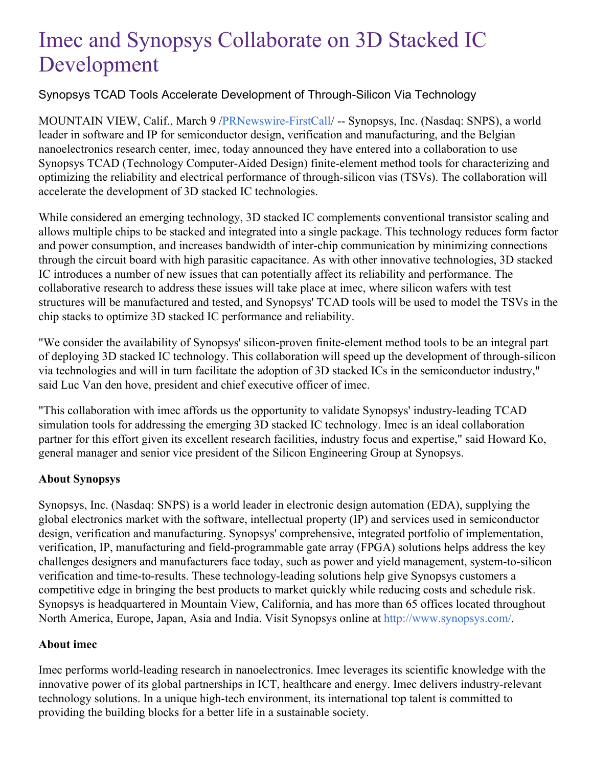# Imec and Synopsys Collaborate on 3D Stacked IC Development

## Synopsys TCAD Tools Accelerate Development of Through-Silicon Via Technology

MOUNTAIN VIEW, Calif., March 9 [/PRNewswire-FirstCall](http://www.prnewswire.com/)/ -- Synopsys, Inc. (Nasdaq: SNPS), a world leader in software and IP for semiconductor design, verification and manufacturing, and the Belgian nanoelectronics research center, imec, today announced they have entered into a collaboration to use Synopsys TCAD (Technology Computer-Aided Design) finite-element method tools for characterizing and optimizing the reliability and electrical performance of through-silicon vias (TSVs). The collaboration will accelerate the development of 3D stacked IC technologies.

While considered an emerging technology, 3D stacked IC complements conventional transistor scaling and allows multiple chips to be stacked and integrated into a single package. This technology reduces form factor and power consumption, and increases bandwidth of inter-chip communication by minimizing connections through the circuit board with high parasitic capacitance. As with other innovative technologies, 3D stacked IC introduces a number of new issues that can potentially affect its reliability and performance. The collaborative research to address these issues will take place at imec, where silicon wafers with test structures will be manufactured and tested, and Synopsys' TCAD tools will be used to model the TSVs in the chip stacks to optimize 3D stacked IC performance and reliability.

"We consider the availability of Synopsys' silicon-proven finite-element method tools to be an integral part of deploying 3D stacked IC technology. This collaboration will speed up the development of through-silicon via technologies and will in turn facilitate the adoption of 3D stacked ICs in the semiconductor industry," said Luc Van den hove, president and chief executive officer of imec.

"This collaboration with imec affords us the opportunity to validate Synopsys' industry-leading TCAD simulation tools for addressing the emerging 3D stacked IC technology. Imec is an ideal collaboration partner for this effort given its excellent research facilities, industry focus and expertise," said Howard Ko, general manager and senior vice president of the Silicon Engineering Group at Synopsys.

## **About Synopsys**

Synopsys, Inc. (Nasdaq: SNPS) is a world leader in electronic design automation (EDA), supplying the global electronics market with the software, intellectual property (IP) and services used in semiconductor design, verification and manufacturing. Synopsys' comprehensive, integrated portfolio of implementation, verification, IP, manufacturing and field-programmable gate array (FPGA) solutions helps address the key challenges designers and manufacturers face today, such as power and yield management, system-to-silicon verification and time-to-results. These technology-leading solutions help give Synopsys customers a competitive edge in bringing the best products to market quickly while reducing costs and schedule risk. Synopsys is headquartered in Mountain View, California, and has more than 65 offices located throughout North America, Europe, Japan, Asia and India. Visit Synopsys online at <http://www.synopsys.com/>.

#### **About imec**

Imec performs world-leading research in nanoelectronics. Imec leverages its scientific knowledge with the innovative power of its global partnerships in ICT, healthcare and energy. Imec delivers industry-relevant technology solutions. In a unique high-tech environment, its international top talent is committed to providing the building blocks for a better life in a sustainable society.